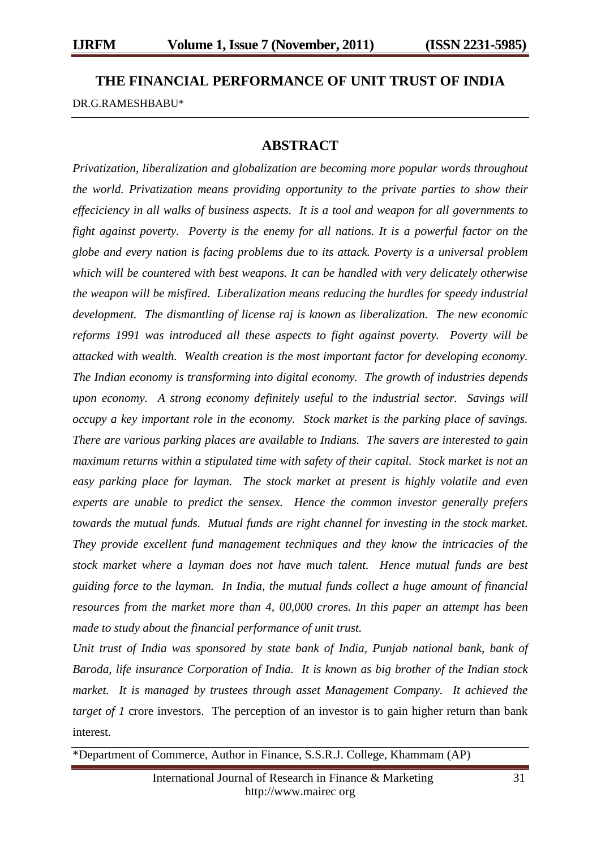## **THE FINANCIAL PERFORMANCE OF UNIT TRUST OF INDIA**

DR.G.RAMESHBABU\*

## **ABSTRACT**

*Privatization, liberalization and globalization are becoming more popular words throughout the world. Privatization means providing opportunity to the private parties to show their effeciciency in all walks of business aspects. It is a tool and weapon for all governments to fight against poverty. Poverty is the enemy for all nations. It is a powerful factor on the globe and every nation is facing problems due to its attack. Poverty is a universal problem which will be countered with best weapons. It can be handled with very delicately otherwise the weapon will be misfired. Liberalization means reducing the hurdles for speedy industrial development. The dismantling of license raj is known as liberalization. The new economic reforms 1991 was introduced all these aspects to fight against poverty. Poverty will be attacked with wealth. Wealth creation is the most important factor for developing economy. The Indian economy is transforming into digital economy. The growth of industries depends upon economy. A strong economy definitely useful to the industrial sector. Savings will occupy a key important role in the economy. Stock market is the parking place of savings. There are various parking places are available to Indians. The savers are interested to gain maximum returns within a stipulated time with safety of their capital. Stock market is not an easy parking place for layman. The stock market at present is highly volatile and even experts are unable to predict the sensex. Hence the common investor generally prefers towards the mutual funds. Mutual funds are right channel for investing in the stock market. They provide excellent fund management techniques and they know the intricacies of the stock market where a layman does not have much talent. Hence mutual funds are best guiding force to the layman. In India, the mutual funds collect a huge amount of financial resources from the market more than 4, 00,000 crores. In this paper an attempt has been made to study about the financial performance of unit trust.*

*Unit trust of India was sponsored by state bank of India, Punjab national bank, bank of Baroda, life insurance Corporation of India. It is known as big brother of the Indian stock market.* It is managed by trustees through asset Management Company. It achieved the *target of 1* crore investors. The perception of an investor is to gain higher return than bank interest.

\*Department of Commerce, Author in Finance, S.S.R.J. College, Khammam (AP)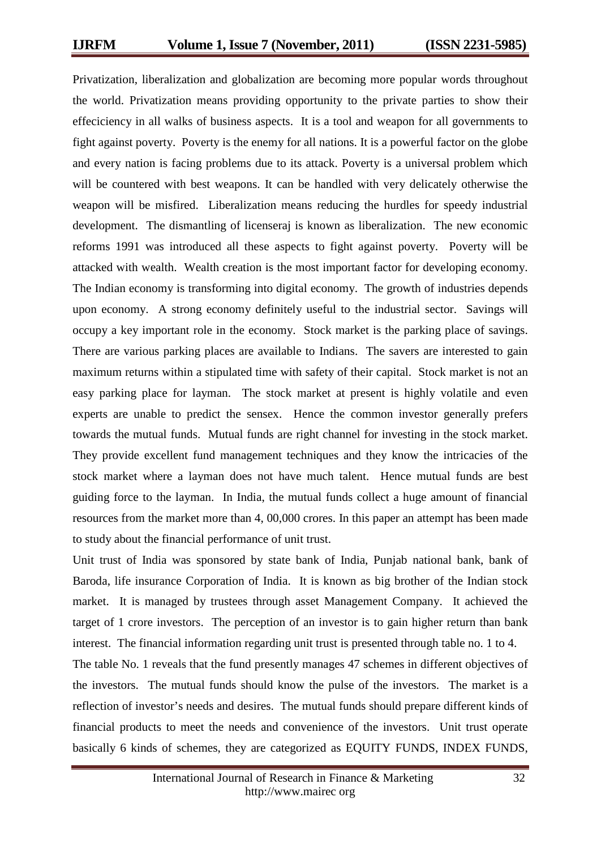Privatization, liberalization and globalization are becoming more popular words throughout the world. Privatization means providing opportunity to the private parties to show their effeciciency in all walks of business aspects. It is a tool and weapon for all governments to fight against poverty. Poverty is the enemy for all nations. It is a powerful factor on the globe and every nation is facing problems due to its attack. Poverty is a universal problem which will be countered with best weapons. It can be handled with very delicately otherwise the weapon will be misfired. Liberalization means reducing the hurdles for speedy industrial development. The dismantling of licenseraj is known as liberalization. The new economic reforms 1991 was introduced all these aspects to fight against poverty. Poverty will be attacked with wealth. Wealth creation is the most important factor for developing economy. The Indian economy is transforming into digital economy. The growth of industries depends upon economy. A strong economy definitely useful to the industrial sector. Savings will occupy a key important role in the economy. Stock market is the parking place of savings. There are various parking places are available to Indians. The savers are interested to gain maximum returns within a stipulated time with safety of their capital. Stock market is not an easy parking place for layman. The stock market at present is highly volatile and even experts are unable to predict the sensex. Hence the common investor generally prefers towards the mutual funds. Mutual funds are right channel for investing in the stock market. They provide excellent fund management techniques and they know the intricacies of the stock market where a layman does not have much talent. Hence mutual funds are best guiding force to the layman. In India, the mutual funds collect a huge amount of financial resources from the market more than 4, 00,000 crores. In this paper an attempt has been made to study about the financial performance of unit trust.

Unit trust of India was sponsored by state bank of India, Punjab national bank, bank of Baroda, life insurance Corporation of India. It is known as big brother of the Indian stock market. It is managed by trustees through asset Management Company. It achieved the target of 1 crore investors. The perception of an investor is to gain higher return than bank interest. The financial information regarding unit trust is presented through table no. 1 to 4.

The table No. 1 reveals that the fund presently manages 47 schemes in different objectives of the investors. The mutual funds should know the pulse of the investors. The market is a reflection of investor's needs and desires. The mutual funds should prepare different kinds of financial products to meet the needs and convenience of the investors. Unit trust operate basically 6 kinds of schemes, they are categorized as EQUITY FUNDS, INDEX FUNDS,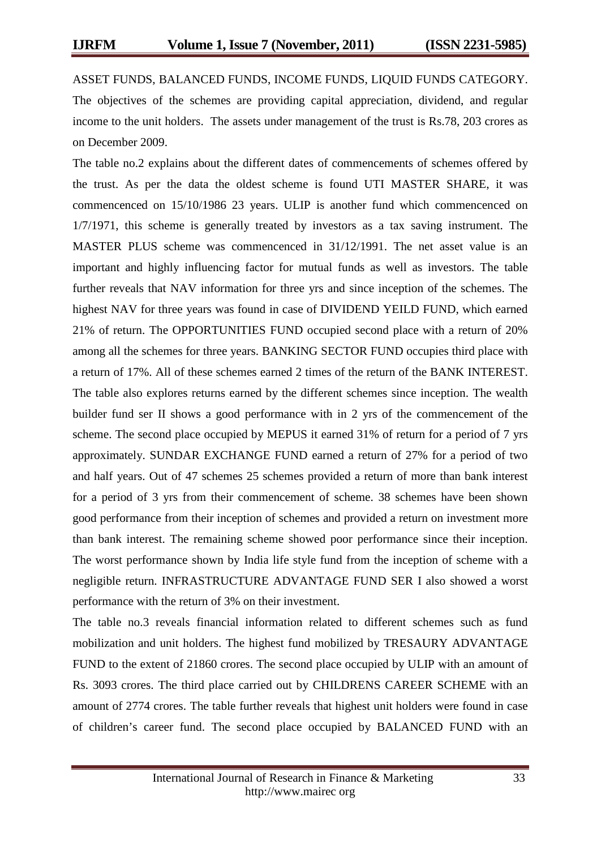ASSET FUNDS, BALANCED FUNDS, INCOME FUNDS, LIQUID FUNDS CATEGORY. The objectives of the schemes are providing capital appreciation, dividend, and regular income to the unit holders. The assets under management of the trust is Rs.78, 203 crores as on December 2009.

The table no.2 explains about the different dates of commencements of schemes offered by the trust. As per the data the oldest scheme is found UTI MASTER SHARE, it was commencenced on 15/10/1986 23 years. ULIP is another fund which commencenced on 1/7/1971, this scheme is generally treated by investors as a tax saving instrument. The MASTER PLUS scheme was commencenced in 31/12/1991. The net asset value is an important and highly influencing factor for mutual funds as well as investors. The table further reveals that NAV information for three yrs and since inception of the schemes. The highest NAV for three years was found in case of DIVIDEND YEILD FUND, which earned 21% of return. The OPPORTUNITIES FUND occupied second place with a return of 20% among all the schemes for three years. BANKING SECTOR FUND occupies third place with a return of 17%. All of these schemes earned 2 times of the return of the BANK INTEREST. The table also explores returns earned by the different schemes since inception. The wealth builder fund ser II shows a good performance with in 2 yrs of the commencement of the scheme. The second place occupied by MEPUS it earned 31% of return for a period of 7 yrs approximately. SUNDAR EXCHANGE FUND earned a return of 27% for a period of two and half years. Out of 47 schemes 25 schemes provided a return of more than bank interest for a period of 3 yrs from their commencement of scheme. 38 schemes have been shown good performance from their inception of schemes and provided a return on investment more than bank interest. The remaining scheme showed poor performance since their inception. The worst performance shown by India life style fund from the inception of scheme with a negligible return. INFRASTRUCTURE ADVANTAGE FUND SER I also showed a worst performance with the return of 3% on their investment.

The table no.3 reveals financial information related to different schemes such as fund mobilization and unit holders. The highest fund mobilized by TRESAURY ADVANTAGE FUND to the extent of 21860 crores. The second place occupied by ULIP with an amount of Rs. 3093 crores. The third place carried out by CHILDRENS CAREER SCHEME with an amount of 2774 crores. The table further reveals that highest unit holders were found in case of children's career fund. The second place occupied by BALANCED FUND with an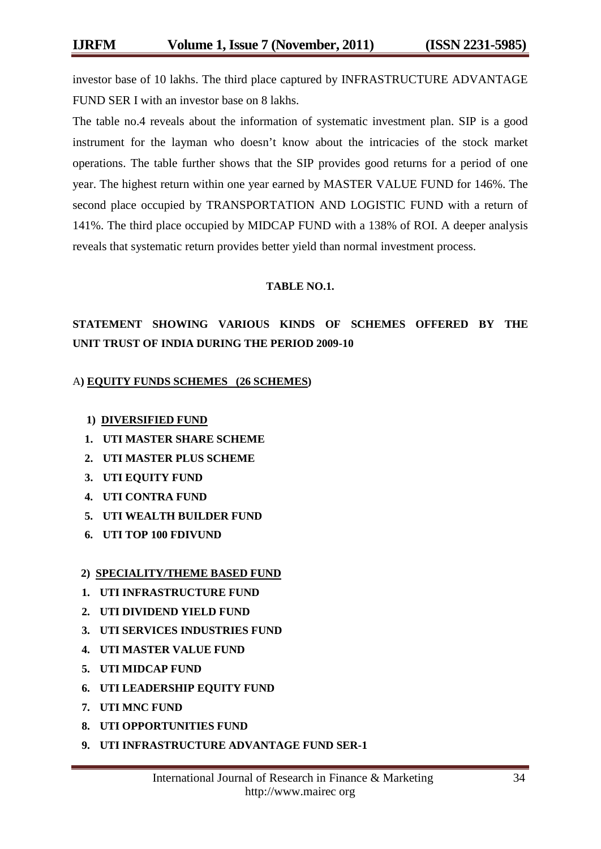investor base of 10 lakhs. The third place captured by INFRASTRUCTURE ADVANTAGE FUND SER I with an investor base on 8 lakhs.

The table no.4 reveals about the information of systematic investment plan. SIP is a good instrument for the layman who doesn't know about the intricacies of the stock market operations. The table further shows that the SIP provides good returns for a period of one year. The highest return within one year earned by MASTER VALUE FUND for 146%. The second place occupied by TRANSPORTATION AND LOGISTIC FUND with a return of 141%. The third place occupied by MIDCAP FUND with a 138% of ROI. A deeper analysis reveals that systematic return provides better yield than normal investment process.

#### **TABLE NO.1.**

## **STATEMENT SHOWING VARIOUS KINDS OF SCHEMES OFFERED BY THE UNIT TRUST OF INDIA DURING THE PERIOD 2009-10**

#### A**) EQUITY FUNDS SCHEMES (26 SCHEMES)**

#### **1) DIVERSIFIED FUND**

- **1. UTI MASTER SHARE SCHEME**
- **2. UTI MASTER PLUS SCHEME**
- **3. UTI EQUITY FUND**
- **4. UTI CONTRA FUND**
- **5. UTI WEALTH BUILDER FUND**
- **6. UTI TOP 100 FDIVUND**

#### **2) SPECIALITY/THEME BASED FUND**

- **1. UTI INFRASTRUCTURE FUND**
- **2. UTI DIVIDEND YIELD FUND**
- **3. UTI SERVICES INDUSTRIES FUND**
- **4. UTI MASTER VALUE FUND**
- **5. UTI MIDCAP FUND**
- **6. UTI LEADERSHIP EQUITY FUND**
- **7. UTI MNC FUND**
- **8. UTI OPPORTUNITIES FUND**
- **9. UTI INFRASTRUCTURE ADVANTAGE FUND SER-1**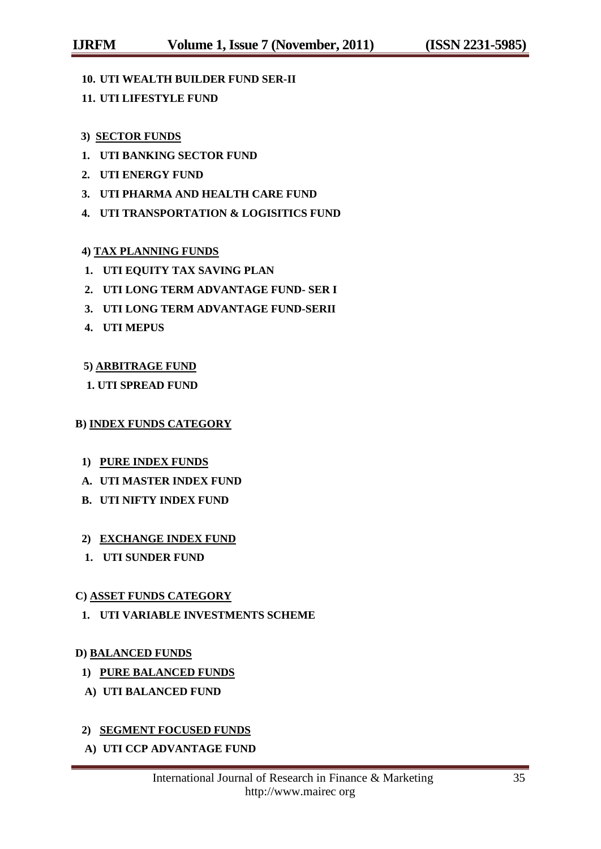- **10. UTI WEALTH BUILDER FUND SER-II**
- **11. UTI LIFESTYLE FUND**

### **3) SECTOR FUNDS**

- **1. UTI BANKING SECTOR FUND**
- **2. UTI ENERGY FUND**
- **3. UTI PHARMA AND HEALTH CARE FUND**
- **4. UTI TRANSPORTATION & LOGISITICS FUND**

### **4) TAX PLANNING FUNDS**

- **1. UTI EQUITY TAX SAVING PLAN**
- **2. UTI LONG TERM ADVANTAGE FUND- SER I**
- **3. UTI LONG TERM ADVANTAGE FUND-SERII**
- **4. UTI MEPUS**

### **5) ARBITRAGE FUND**

### **1. UTI SPREAD FUND**

#### **B) INDEX FUNDS CATEGORY**

- **1) PURE INDEX FUNDS**
- **A. UTI MASTER INDEX FUND**
- **B. UTI NIFTY INDEX FUND**

## **2) EXCHANGE INDEX FUND**

**1. UTI SUNDER FUND**

### **C) ASSET FUNDS CATEGORY**

**1. UTI VARIABLE INVESTMENTS SCHEME**

#### **D) BALANCED FUNDS**

- **1) PURE BALANCED FUNDS**
- **A) UTI BALANCED FUND**

## **2) SEGMENT FOCUSED FUNDS**

**A) UTI CCP ADVANTAGE FUND**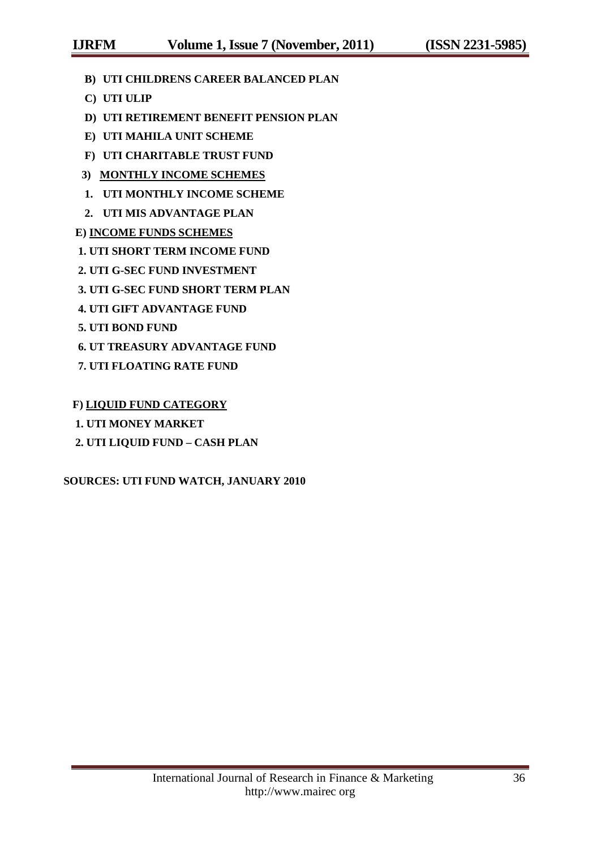- **B) UTI CHILDRENS CAREER BALANCED PLAN**
- **C) UTI ULIP**
- **D) UTI RETIREMENT BENEFIT PENSION PLAN**
- **E) UTI MAHILA UNIT SCHEME**
- **F) UTI CHARITABLE TRUST FUND**
- **3) MONTHLY INCOME SCHEMES**
- **1. UTI MONTHLY INCOME SCHEME**
- **2. UTI MIS ADVANTAGE PLAN**

## **E) INCOME FUNDS SCHEMES**

- **1. UTI SHORT TERM INCOME FUND**
- **2. UTI G-SEC FUND INVESTMENT**
- **3. UTI G-SEC FUND SHORT TERM PLAN**
- **4. UTI GIFT ADVANTAGE FUND**
- **5. UTI BOND FUND**
- **6. UT TREASURY ADVANTAGE FUND**
- **7. UTI FLOATING RATE FUND**

## **F) LIQUID FUND CATEGORY**

- **1. UTI MONEY MARKET**
- **2. UTI LIQUID FUND – CASH PLAN**

## **SOURCES: UTI FUND WATCH, JANUARY 2010**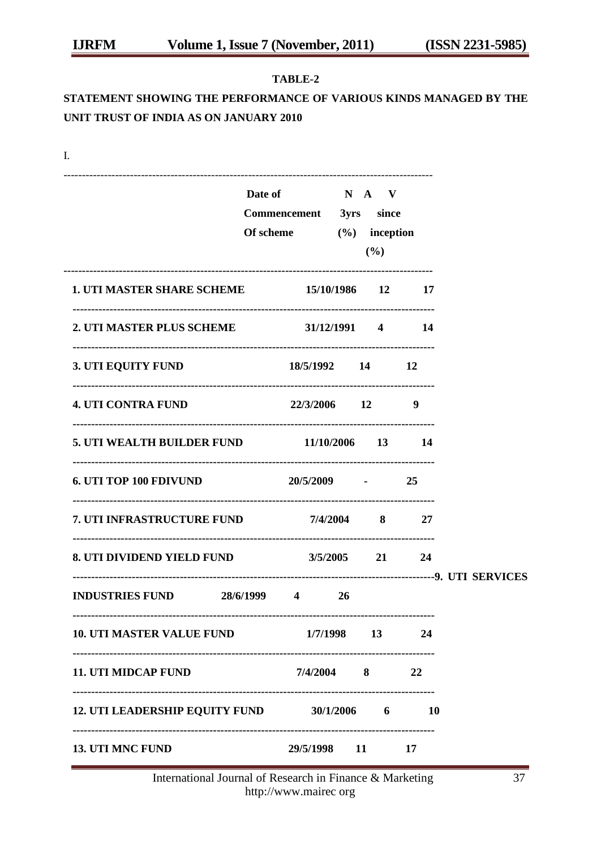#### **TABLE-2**

# **STATEMENT SHOWING THE PERFORMANCE OF VARIOUS KINDS MANAGED BY THE UNIT TRUST OF INDIA AS ON JANUARY 2010**

| I.                                          |                                                       |                               |           |  |
|---------------------------------------------|-------------------------------------------------------|-------------------------------|-----------|--|
|                                             | Date of N A V<br>Commencement 3yrs since<br>Of scheme | $(\%)$ inception<br>(%)       |           |  |
| 1. UTI MASTER SHARE SCHEME 15/10/1986 12 17 |                                                       |                               |           |  |
| 2. UTI MASTER PLUS SCHEME 31/12/1991 4 14   |                                                       |                               |           |  |
| 3. UTI EQUITY FUND                          |                                                       | 18/5/1992 14 12               |           |  |
| <b>4. UTI CONTRA FUND</b>                   | 22/3/2006 12                                          |                               | -9        |  |
| 5. UTI WEALTH BUILDER FUND 11/10/2006 13 14 |                                                       |                               |           |  |
| <b>6. UTI TOP 100 FDIVUND</b>               | $20/5/2009$ - 25                                      |                               |           |  |
| 7. UTI INFRASTRUCTURE FUND 7/4/2004 8 27    |                                                       |                               |           |  |
| 8. UTI DIVIDEND YIELD FUND 3/5/2005 21 24   |                                                       | ----------------------------- |           |  |
| <b>INDUSTRIES FUND 28/6/1999 4</b>          |                                                       | <b>26</b>                     |           |  |
| <b>10. UTI MASTER VALUE FUND</b>            |                                                       | 1/7/1998 13                   | 24        |  |
| <b>11. UTI MIDCAP FUND</b>                  |                                                       | $7/4/2004$ 8                  | 22        |  |
| 12. UTI LEADERSHIP EQUITY FUND 30/1/2006 6  |                                                       |                               | <b>10</b> |  |
| 13. UTI MNC FUND                            |                                                       | 29/5/1998 11                  | 17        |  |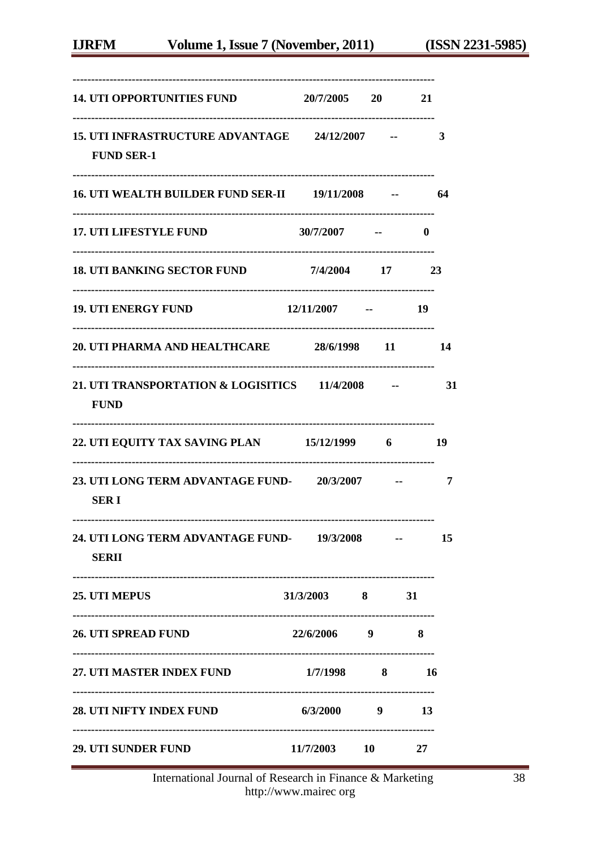| 14. UTI OPPORTUNITIES FUND 20/7/2005 20                             |                    |                                  | 21           |      |
|---------------------------------------------------------------------|--------------------|----------------------------------|--------------|------|
| 15. UTI INFRASTRUCTURE ADVANTAGE 24/12/2007 --<br><b>FUND SER-1</b> |                    |                                  |              | 3    |
| 16. UTI WEALTH BUILDER FUND SER-II 19/11/2008 -- 64                 |                    |                                  |              |      |
| <b>17. UTI LIFESTYLE FUND</b>                                       | $30/7/2007$ --     |                                  | $\mathbf{0}$ |      |
| 18. UTI BANKING SECTOR FUND 7/4/2004 17 23                          |                    |                                  |              |      |
| <b>19. UTI ENERGY FUND</b>                                          | $12/11/2007$ -- 19 |                                  |              |      |
| 20. UTI PHARMA AND HEALTHCARE 28/6/1998 11 14                       |                    |                                  |              |      |
| 21. UTI TRANSPORTATION & LOGISITICS 11/4/2008 -<br><b>FUND</b>      |                    |                                  |              | - 31 |
| 22. UTI EQUITY TAX SAVING PLAN 15/12/1999 6 19                      |                    |                                  |              |      |
| 23. UTI LONG TERM ADVANTAGE FUND-20/3/2007 -- 7<br><b>SERI</b>      |                    |                                  |              |      |
| 24. UTI LONG TERM ADVANTAGE FUND-19/3/2008<br><b>SERII</b>          |                    |                                  |              | 15   |
| 25. UTI MEPUS                                                       | $31/3/2003$ 8 31   |                                  |              |      |
| <b>26. UTI SPREAD FUND</b>                                          | 22/6/2006 9        | -------------------------------- | 8            |      |
| -------------------------<br>27. UTI MASTER INDEX FUND 1/7/1998 8   |                    |                                  | 16           |      |
| <b>28. UTI NIFTY INDEX FUND</b>                                     | 6/3/2000           | 9                                | 13           |      |
| <b>29. UTI SUNDER FUND</b>                                          | 11/7/2003 10       |                                  | 27           |      |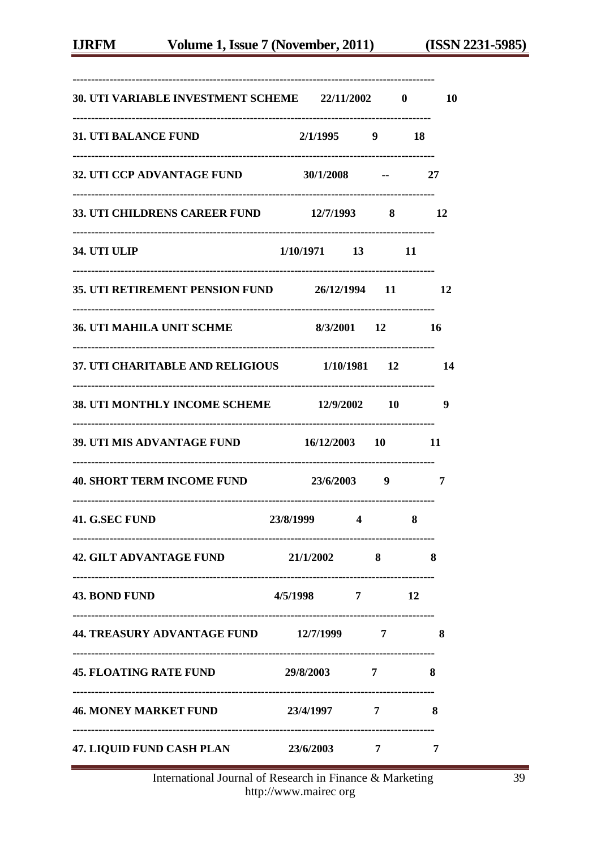| 30. UTI VARIABLE INVESTMENT SCHEME 22/11/2002 0           |                                 |                         |    | <b>10</b> |
|-----------------------------------------------------------|---------------------------------|-------------------------|----|-----------|
| <b>31. UTI BALANCE FUND</b>                               | $2/1/1995$ 9                    |                         | 18 |           |
| 32. UTI CCP ADVANTAGE FUND 30/1/2008 --                   |                                 |                         |    | - 27      |
| 33. UTI CHILDRENS CAREER FUND 12/7/1993 8 12              |                                 |                         |    |           |
| 34. UTI ULIP                                              | $1/10/1971$ 13 11               |                         |    |           |
| 35. UTI RETIREMENT PENSION FUND 26/12/1994 11 12          |                                 |                         |    |           |
| <b>36. UTI MAHILA UNIT SCHME</b>                          | 8/3/2001 12 16                  |                         |    |           |
| 37. UTI CHARITABLE AND RELIGIOUS 1/10/1981 12 14          |                                 |                         |    |           |
| 38. UTI MONTHLY INCOME SCHEME 12/9/2002 10                |                                 |                         |    | 9         |
| 39. UTI MIS ADVANTAGE FUND 16/12/2003 10                  |                                 |                         |    | 11        |
| 40. SHORT TERM INCOME FUND 23/6/2003 9                    |                                 |                         |    | 7         |
| 41. G.SEC FUND                                            | 23/8/1999                       | $\overline{\mathbf{4}}$ | 8  |           |
| <b>42. GILT ADVANTAGE FUND</b>                            | 21/1/2002                       | 8                       |    | 8         |
| <b>43. BOND FUND</b>                                      | 4/5/1998 7                      |                         | 12 |           |
| 44. TREASURY ADVANTAGE FUND 12/7/1999                     |                                 | 7                       |    | 8         |
| <b>45. FLOATING RATE FUND</b>                             | 29/8/2003                       | 7                       |    | 8         |
| <br>46. MONEY MARKET FUND 23/4/1997                       |                                 | 7                       |    | 8         |
| ---------------------<br><b>47. LIQUID FUND CASH PLAN</b> | ------------------<br>23/6/2003 | 7                       |    | 7         |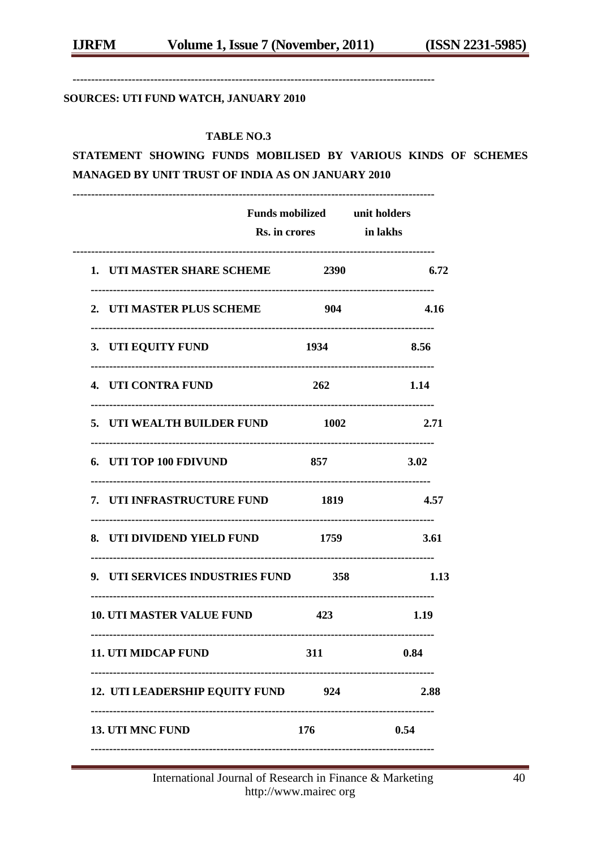---------------------------------------------------------

#### SOURCES: UTI FUND WATCH, JANUARY 2010

#### **TABLE NO.3**

STATEMENT SHOWING FUNDS MOBILISED BY VARIOUS KINDS OF SCHEMES MANAGED BY UNIT TRUST OF INDIA AS ON JANUARY 2010

|                                     | Funds mobilized unit holders<br>Rs. in crores in lakhs |      |
|-------------------------------------|--------------------------------------------------------|------|
| 1. UTI MASTER SHARE SCHEME 2390     |                                                        | 6.72 |
| 2. UTI MASTER PLUS SCHEME           | 904                                                    | 4.16 |
| 3. UTI EQUITY FUND                  | 1934                                                   | 8.56 |
| 4. UTI CONTRA FUND                  | 262                                                    | 1.14 |
| 5. UTI WEALTH BUILDER FUND          | 1002                                                   | 2.71 |
| 6. UTI TOP 100 FDIVUND              | 857                                                    | 3.02 |
| 7. UTI INFRASTRUCTURE FUND 1819     |                                                        | 4.57 |
| 8. UTI DIVIDEND YIELD FUND 1759     |                                                        | 3.61 |
| 9. UTI SERVICES INDUSTRIES FUND 358 |                                                        | 1.13 |
| <b>10. UTI MASTER VALUE FUND</b>    | 423                                                    | 1.19 |
| <b>11. UTI MIDCAP FUND</b>          | 311                                                    | 0.84 |
| 12. UTI LEADERSHIP EQUITY FUND      | 924                                                    | 2.88 |
| <b>13. UTI MNC FUND</b>             | 176                                                    | 0.54 |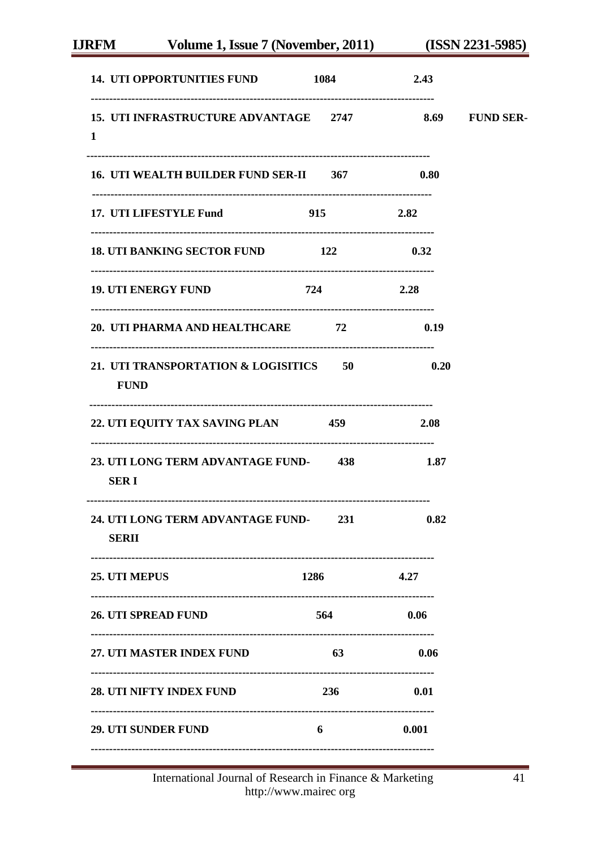| 14. UTI OPPORTUNITIES FUND 1084                                      |           | 2.43        |  |
|----------------------------------------------------------------------|-----------|-------------|--|
| 15. UTI INFRASTRUCTURE ADVANTAGE 2747 8.69 FUND SER-<br>$\mathbf{1}$ |           |             |  |
| 16. UTI WEALTH BUILDER FUND SER-II 367                               |           | 0.80        |  |
| 17. UTI LIFESTYLE Fund 915                                           |           | 2.82        |  |
| 18. UTI BANKING SECTOR FUND 122                                      |           | 0.32        |  |
| <b>19. UTI ENERGY FUND</b>                                           | 724       | 2.28        |  |
| 20. UTI PHARMA AND HEALTHCARE 72 0.19                                |           |             |  |
| 21. UTI TRANSPORTATION & LOGISITICS 50<br><b>FUND</b>                |           | $\sim 0.20$ |  |
| 22. UTI EQUITY TAX SAVING PLAN 459                                   |           | 2.08        |  |
| 23. UTI LONG TERM ADVANTAGE FUND-438 1.87<br><b>SERI</b>             |           |             |  |
| 24. UTI LONG TERM ADVANTAGE FUND-231 0.82<br><b>SERII</b>            |           |             |  |
| 25. UTI MEPUS                                                        | 1286 4.27 |             |  |
| <b>26. UTI SPREAD FUND</b>                                           | 564       | 0.06        |  |
| <b>27. UTI MASTER INDEX FUND</b>                                     | 63        | 0.06        |  |
| 28. UTI NIFTY INDEX FUND                                             | 236       | 0.01        |  |
| <b>29. UTI SUNDER FUND</b>                                           | 6         | 0.001       |  |
|                                                                      |           |             |  |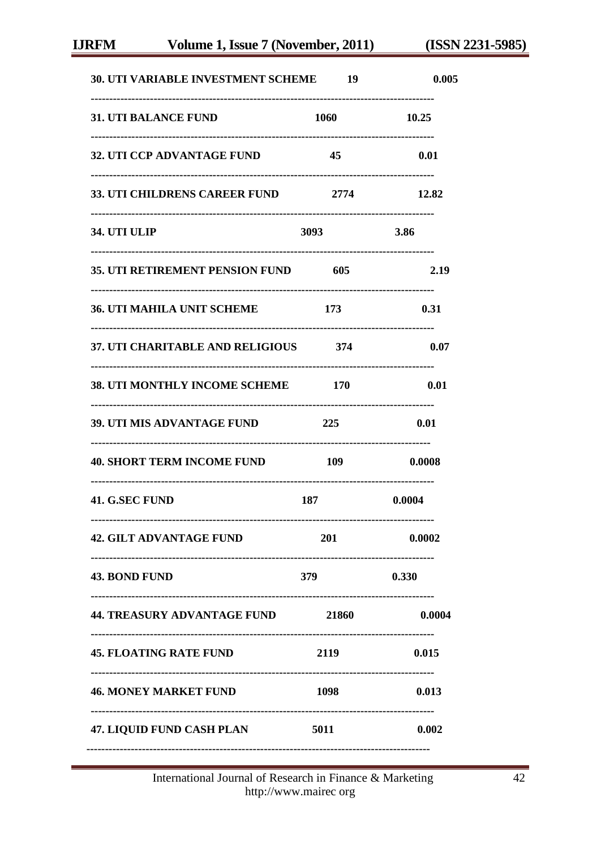| <b>30. UTI VARIABLE INVESTMENT SCHEME 19</b> |             | 0.005       |
|----------------------------------------------|-------------|-------------|
| <b>31. UTI BALANCE FUND</b>                  | 1060        | 10.25       |
| <b>32. UTI CCP ADVANTAGE FUND</b>            | 45          | 0.01        |
| 33. UTI CHILDRENS CAREER FUND 2774           |             | 12.82       |
| 34. UTI ULIP                                 | <b>3093</b> | <b>3.86</b> |
| 35. UTI RETIREMENT PENSION FUND 605          |             | 2.19        |
| <b>36. UTI MAHILA UNIT SCHEME</b>            | 173         | 0.31        |
| 37. UTI CHARITABLE AND RELIGIOUS 374         |             | 0.07        |
| 38. UTI MONTHLY INCOME SCHEME 170            |             | 0.01        |
| <b>39. UTI MIS ADVANTAGE FUND</b>            | 225         | 0.01        |
| 40. SHORT TERM INCOME FUND 109               |             | 0.0008      |
| 41. G.SEC FUND                               | 187         | 0.0004      |
| <b>42. GILT ADVANTAGE FUND</b>               | 201         | 0.0002      |
| <b>43. BOND FUND</b>                         | <b>379</b>  | 0.330       |
| 44. TREASURY ADVANTAGE FUND 21860            |             | 0.0004      |
| <b>45. FLOATING RATE FUND</b>                | 2119        | 0.015       |
| <b>46. MONEY MARKET FUND</b>                 | 1098        | 0.013       |
| 47. LIQUID FUND CASH PLAN 5011               |             | 0.002       |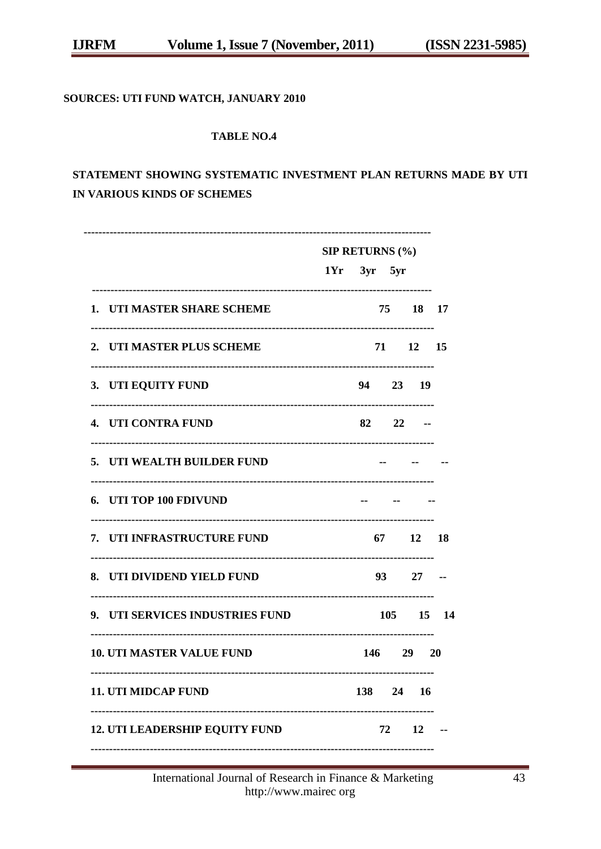## SOURCES: UTI FUND WATCH, JANUARY 2010

#### **TABLE NO.4**

# STATEMENT SHOWING SYSTEMATIC INVESTMENT PLAN RETURNS MADE BY UTI IN VARIOUS KINDS OF SCHEMES

| 1. UTI MASTER SHARE SCHEME            |  |  |                                                                                                                                                                                      |
|---------------------------------------|--|--|--------------------------------------------------------------------------------------------------------------------------------------------------------------------------------------|
| 2. UTI MASTER PLUS SCHEME             |  |  |                                                                                                                                                                                      |
| 3. UTI EQUITY FUND                    |  |  |                                                                                                                                                                                      |
| 4. UTI CONTRA FUND                    |  |  |                                                                                                                                                                                      |
| 5. UTI WEALTH BUILDER FUND            |  |  |                                                                                                                                                                                      |
| 6. UTI TOP 100 FDIVUND                |  |  |                                                                                                                                                                                      |
| 7. UTI INFRASTRUCTURE FUND            |  |  |                                                                                                                                                                                      |
| 8. UTI DIVIDEND YIELD FUND            |  |  |                                                                                                                                                                                      |
| 9. UTI SERVICES INDUSTRIES FUND       |  |  |                                                                                                                                                                                      |
| <b>10. UTI MASTER VALUE FUND</b>      |  |  |                                                                                                                                                                                      |
| <b>11. UTI MIDCAP FUND</b>            |  |  |                                                                                                                                                                                      |
| <b>12. UTI LEADERSHIP EQUITY FUND</b> |  |  |                                                                                                                                                                                      |
|                                       |  |  | <b>SIP RETURNS (%)</b><br>$1Yr$ $3yr$ $5yr$<br>75 18 17<br>71 12 15<br>94 23 19<br>$82 \t 22 \t -$<br>67 12 18<br>93 27 --<br>105 15 14<br>146 29 20<br>138 24 16<br>$72 \t 12 \t -$ |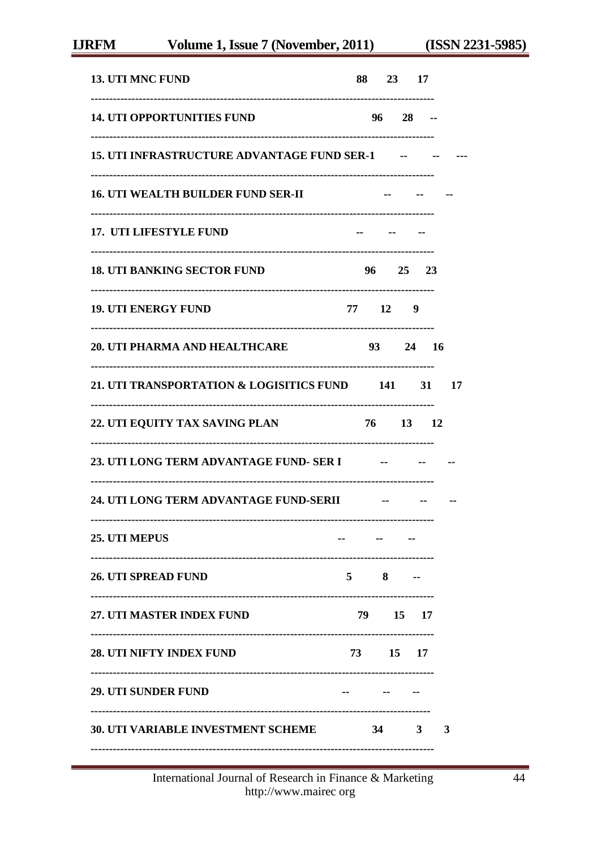| <b>13. UTI MNC FUND</b>                            |             | 88 23 17        |            |       |    |
|----------------------------------------------------|-------------|-----------------|------------|-------|----|
| <b>14. UTI OPPORTUNITIES FUND</b>                  |             | $96 \t 28 \t -$ |            |       |    |
| <b>15. UTI INFRASTRUCTURE ADVANTAGE FUND SER-1</b> |             |                 | $\sim$ $-$ |       |    |
| <b>16. UTI WEALTH BUILDER FUND SER-II</b>          |             |                 |            |       |    |
| 17. UTI LIFESTYLE FUND                             |             |                 |            |       |    |
| <b>18. UTI BANKING SECTOR FUND</b>                 |             | 96 25 23        |            |       |    |
| <b>19. UTI ENERGY FUND</b>                         |             | 77 12 9         |            |       |    |
| 20. UTI PHARMA AND HEALTHCARE                      |             | 93 —            |            | 24 16 |    |
| 21. UTI TRANSPORTATION & LOGISITICS FUND 141       |             |                 |            | 31    | 17 |
| 22. UTI EQUITY TAX SAVING PLAN                     |             | 76 —            | 13 12      |       |    |
|                                                    |             |                 |            |       |    |
| 24. UTI LONG TERM ADVANTAGE FUND-SERII             |             |                 |            |       |    |
| <b>25. UTI MEPUS</b>                               |             |                 |            |       |    |
| 26. UTI SPREAD FUND                                | $5^{\circ}$ | 8               |            |       |    |
| 27. UTI MASTER INDEX FUND                          |             | 79 15 17        |            |       |    |
| <b>28. UTI NIFTY INDEX FUND</b>                    |             | 73 15 17        |            |       |    |
| <b>29. UTI SUNDER FUND</b>                         |             |                 |            |       |    |
| <b>30. UTI VARIABLE INVESTMENT SCHEME</b>          |             | 34              | 3          |       | 3  |